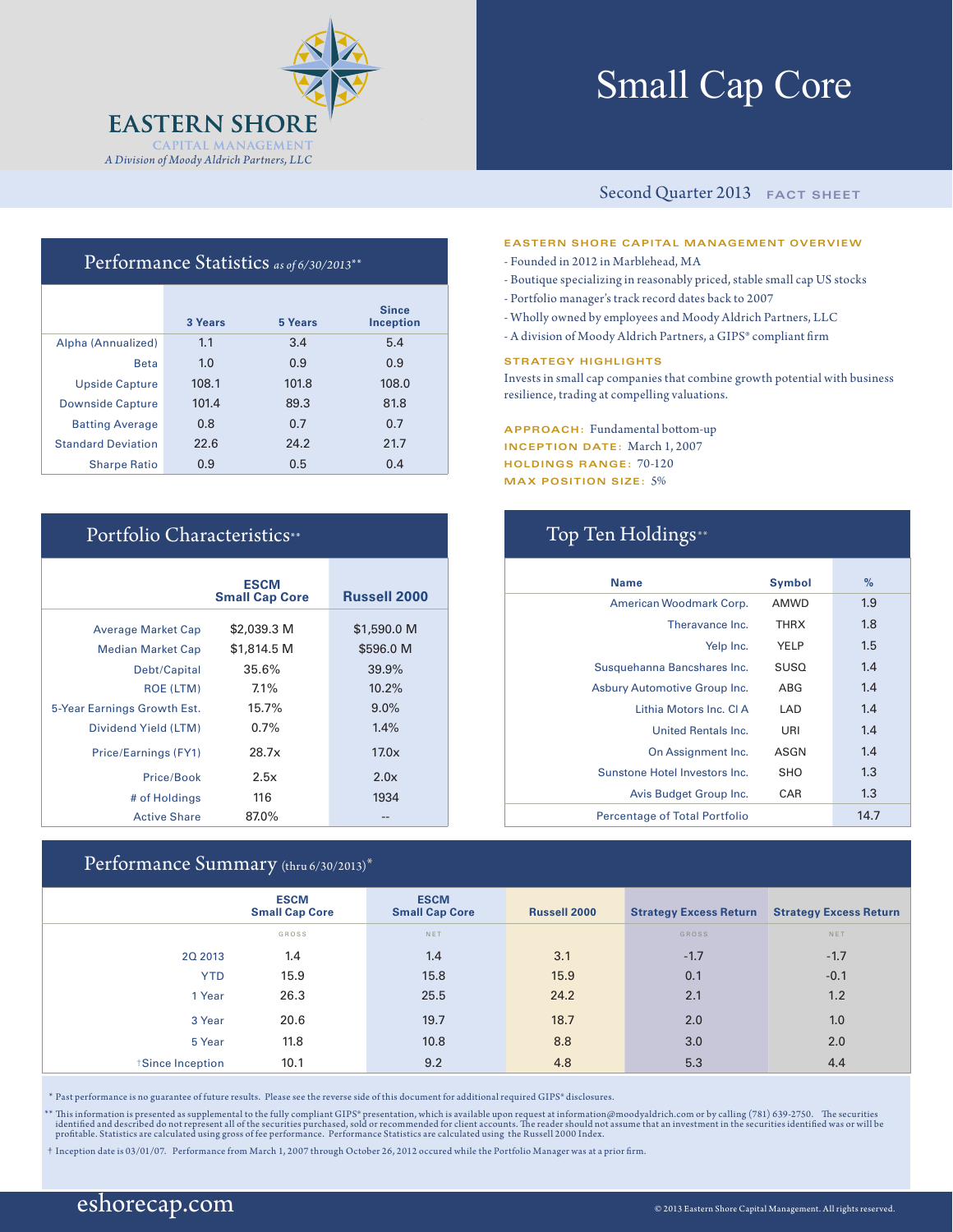

# Small Cap Core

#### Second Quarter 2013 **FACT SHEET**

#### **EASTERN SHORE CAPITAL MANAGEMENT OVERVIEW**

- Founded in 2012 in Marblehead, MA
- Boutique specializing in reasonably priced, stable small cap US stocks
- Portfolio manager's track record dates back to 2007
- Wholly owned by employees and Moody Aldrich Partners, LLC
- A division of Moody Aldrich Partners, a GIPS® compliant firm

#### **STRATEGY HIGHLIGHTS**

Invests in small cap companies that combine growth potential with business resilience, trading at compelling valuations.

**APPROACH:** Fundamental bottom-up **INCEPTION DATE:** March 1, 2007 **HOLDINGS RANGE:** 70-120 **MAX POSITION SIZE:** 5%

| <b>Name</b>                          | <b>Symbol</b> | %    |
|--------------------------------------|---------------|------|
| American Woodmark Corp.              | <b>AMWD</b>   | 1.9  |
| Theravance Inc.                      | <b>THRX</b>   | 1.8  |
| Yelp Inc.                            | YELP          | 1.5  |
| Susquehanna Bancshares Inc.          | <b>SUSO</b>   | 1.4  |
| Asbury Automotive Group Inc.         | ABG           | 1.4  |
| Lithia Motors Inc. CLA               | LAD           | 1.4  |
| <b>United Rentals Inc.</b>           | URI           | 1.4  |
| On Assignment Inc.                   | ASGN          | 1.4  |
| Sunstone Hotel Investors Inc.        | <b>SHO</b>    | 1.3  |
| Avis Budget Group Inc.               | CAR           | 1.3  |
| <b>Percentage of Total Portfolio</b> |               | 14.7 |

### Performance Statistics *as of 6/30/2013*\*\*

|                           | 3 Years | 5 Years | <b>Since</b><br><b>Inception</b> |
|---------------------------|---------|---------|----------------------------------|
| Alpha (Annualized)        | 1.1     | 3.4     | 5.4                              |
| <b>Beta</b>               | 1.0     | 0.9     | 0.9                              |
| <b>Upside Capture</b>     | 108.1   | 101.8   | 108.0                            |
| <b>Downside Capture</b>   | 101.4   | 89.3    | 81.8                             |
| <b>Batting Average</b>    | 0.8     | 0.7     | 0.7                              |
| <b>Standard Deviation</b> | 22.6    | 24.2    | 21.7                             |
| <b>Sharpe Ratio</b>       | 0.9     | 0.5     | 0.4                              |

### Portfolio Characteristics\*\* Top Ten Holdings\*\*

|                             | <b>ESCM</b><br><b>Small Cap Core</b> | <b>Russell 2000</b> |
|-----------------------------|--------------------------------------|---------------------|
| <b>Average Market Cap</b>   | \$2,039.3 M                          | \$1,590.0 M         |
| <b>Median Market Cap</b>    | \$1,814.5 M                          | \$596.0 M           |
| Debt/Capital                | 35.6%                                | 39.9%               |
| <b>ROE (LTM)</b>            | 7.1%                                 | 10.2%               |
| 5-Year Earnings Growth Est. | 15.7%                                | $9.0\%$             |
| Dividend Yield (LTM)        | $0.7\%$                              | 1.4%                |
| Price/Earnings (FY1)        | 28.7x                                | 17.0x               |
| Price/Book                  | 2.5x                                 | 2.0x                |
| # of Holdings               | 116                                  | 1934                |
| <b>Active Share</b>         | 87.0%                                |                     |

#### Performance Summary (thru 6/30/2013)\*

|                               | <b>ESCM</b><br><b>Small Cap Core</b> | <b>ESCM</b><br><b>Small Cap Core</b> | <b>Russell 2000</b> | <b>Strategy Excess Return</b> | <b>Strategy Excess Return</b> |
|-------------------------------|--------------------------------------|--------------------------------------|---------------------|-------------------------------|-------------------------------|
|                               | GROSS                                | NET                                  |                     | <b>GROSS</b>                  | NET                           |
| 20 20 13                      | 1.4                                  | 1.4                                  | 3.1                 | $-1.7$                        | $-1.7$                        |
| <b>YTD</b>                    | 15.9                                 | 15.8                                 | 15.9                | 0.1                           | $-0.1$                        |
| 1 Year                        | 26.3                                 | 25.5                                 | 24.2                | 2.1                           | 1.2                           |
| 3 Year                        | 20.6                                 | 19.7                                 | 18.7                | 2.0                           | 1.0                           |
| 5 Year                        | 11.8                                 | 10.8                                 | 8.8                 | 3.0                           | 2.0                           |
| <i><b>Since Inception</b></i> | 10.1                                 | 9.2                                  | 4.8                 | 5.3                           | 4.4                           |

\* Past performance is no guarantee of future results. Please see the reverse side of this document for additional required GIPS® disclosures.

\*\* This information is presented as supplemental to the fully compliant GIPS\* presentation, which is available upon request at information@moodyaldrich.com or by calling (781) 639-2750. The securities identified was or w

† Inception date is 03/01/07. Performance from March 1, 2007 through October 26, 2012 occured while the Portfolio Manager was at a prior firm.